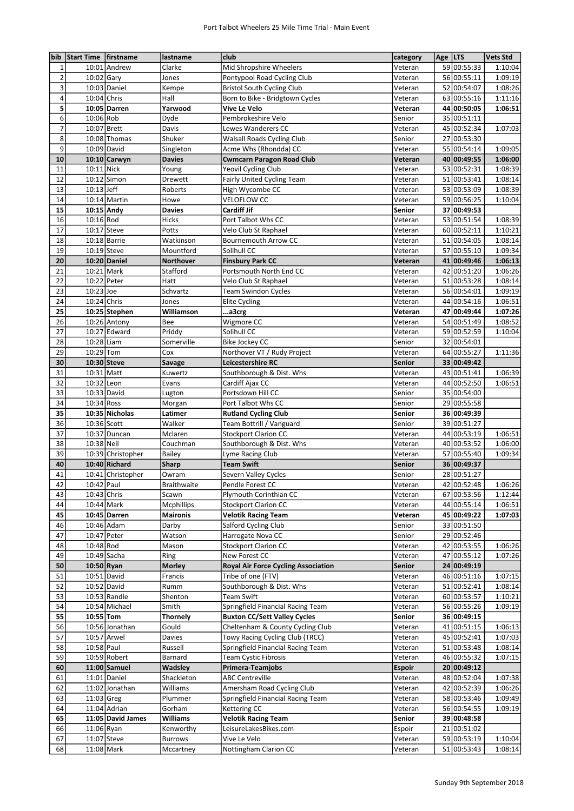| bib                     | Start Time firstname |                   | lastname          | club                                       | category      | Age LTS |             | <b>Vets Std</b> |
|-------------------------|----------------------|-------------------|-------------------|--------------------------------------------|---------------|---------|-------------|-----------------|
| 1                       |                      | 10:01 Andrew      | Clarke            | Mid Shropshire Wheelers                    | Veteran       |         | 59 00:55:33 | 1:10:04         |
| $\mathbf 2$             | 10:02 Gary           |                   | Jones             | Pontypool Road Cycling Club                | Veteran       |         | 56 00:55:11 | 1:09:19         |
| 3                       |                      | 10:03 Daniel      | Kempe             | <b>Bristol South Cycling Club</b>          | Veteran       |         | 52 00:54:07 | 1:08:26         |
| $\overline{\mathbf{4}}$ | 10:04 Chris          |                   | Hall              | Born to Bike - Bridgtown Cycles            | Veteran       |         | 63 00:55:16 | 1:11:16         |
| 5                       |                      | 10:05 Darren      | Yarwood           | Vive Le Velo                               | Veteran       |         | 44 00:50:05 | 1:06:51         |
| 6                       | 10:06 Rob            |                   | Dyde              | Pembrokeshire Velo                         | Senior        |         | 35 00:51:11 |                 |
| $\overline{7}$          |                      |                   |                   |                                            |               |         |             |                 |
|                         | 10:07 Brett          |                   | Davis             | Lewes Wanderers CC                         | Veteran       |         | 45 00:52:34 | 1:07:03         |
| 8                       |                      | 10:08 Thomas      | Shuker            | <b>Walsall Roads Cycling Club</b>          | Senior        |         | 27 00:53:30 |                 |
| 9                       | 10:09 David          |                   | Singleton         | Acme Whs (Rhondda) CC                      | Veteran       |         | 55 00:54:14 | 1:09:05         |
| 10                      |                      | 10:10 Carwyn      | <b>Davies</b>     | <b>Cwmcarn Paragon Road Club</b>           | Veteran       |         | 40 00:49:55 | 1:06:00         |
| 11                      | 10:11 Nick           |                   | Young             | Yeovil Cycling Club                        | Veteran       |         | 53 00:52:31 | 1:08:39         |
| 12                      |                      | 10:12 Simon       | Drewett           | Fairly United Cycling Team                 | Veteran       |         | 51 00:53:41 | 1:08:14         |
| 13                      | $10:13$ Jeff         |                   | Roberts           | High Wycombe CC                            | Veteran       |         | 53 00:53:09 | 1:08:39         |
| 14                      |                      | 10:14 Martin      | Howe              | <b>VELOFLOW CC</b>                         | Veteran       |         | 59 00:56:25 | 1:10:04         |
| 15                      | 10:15 Andy           |                   | <b>Davies</b>     | Cardiff Jif                                | Senior        |         | 37 00:49:53 |                 |
| 16                      | 10:16 Rod            |                   | Hicks             | Port Talbot Whs CC                         | Veteran       |         | 53 00:51:54 | 1:08:39         |
| 17                      | 10:17 Steve          |                   | Potts             | Velo Club St Raphael                       | Veteran       |         | 60 00:52:11 | 1:10:21         |
| 18                      | 10:18 Barrie         |                   | Watkinson         | <b>Bournemouth Arrow CC</b>                | Veteran       |         | 51 00:54:05 | 1:08:14         |
| 19                      | 10:19 Steve          |                   | Mountford         | Solihull CC                                | Veteran       |         | 57 00:55:10 | 1:09:34         |
| 20                      |                      | 10:20 Daniel      |                   |                                            |               |         | 41 00:49:46 |                 |
|                         |                      |                   | <b>Northover</b>  | <b>Finsbury Park CC</b>                    | Veteran       |         |             | 1:06:13         |
| 21                      | 10:21 Mark           |                   | Stafford          | Portsmouth North End CC                    | Veteran       |         | 42 00:51:20 | 1:06:26         |
| 22                      | 10:22 Peter          |                   | Hatt              | Velo Club St Raphael                       | Veteran       |         | 51 00:53:28 | 1:08:14         |
| 23                      | 10:23 Joe            |                   | Schvartz          | <b>Team Swindon Cycles</b>                 | Veteran       |         | 56 00:54:01 | 1:09:19         |
| 24                      | 10:24 Chris          |                   | Jones             | <b>Elite Cycling</b>                       | Veteran       |         | 44 00:54:16 | 1:06:51         |
| 25                      |                      | 10:25 Stephen     | Williamson        | a3crg                                      | Veteran       |         | 47 00:49:44 | 1:07:26         |
| 26                      |                      | 10:26 Antony      | Bee               | Wigmore CC                                 | Veteran       |         | 54 00:51:49 | 1:08:52         |
| 27                      |                      | 10:27 Edward      | Priddy            | Solihull CC                                | Veteran       |         | 59 00:52:59 | 1:10:04         |
| 28                      | 10:28 Liam           |                   | Somerville        | Bike Jockey CC                             | Senior        |         | 32 00:54:01 |                 |
| 29                      | 10:29 Tom            |                   | Cox               | Northover VT / Rudy Project                | Veteran       |         | 64 00:55:27 | 1:11:36         |
| 30                      | 10:30 Steve          |                   | Savage            | Leicestershire RC                          | Senior        |         | 33 00:49:42 |                 |
| 31                      | 10:31 Matt           |                   | Kuwertz           | Southborough & Dist. Whs                   | Veteran       |         | 43 00:51:41 | 1:06:39         |
| 32                      | 10:32 Leon           |                   | Evans             | Cardiff Ajax CC                            | Veteran       |         | 44 00:52:50 | 1:06:51         |
| 33                      | 10:33 David          |                   | Lugton            | Portsdown Hill CC                          | Senior        |         | 35 00:54:00 |                 |
| 34                      | 10:34 Ross           |                   | Morgan            | Port Talbot Whs CC                         | Senior        |         | 29 00:55:58 |                 |
| 35                      |                      | 10:35 Nicholas    |                   |                                            | Senior        |         | 36 00:49:39 |                 |
|                         |                      |                   | Latimer           | <b>Rutland Cycling Club</b>                |               |         |             |                 |
| 36                      | 10:36 Scott          |                   | Walker            | Team Bottrill / Vanguard                   | Senior        |         | 39 00:51:27 |                 |
| 37                      |                      | 10:37 Duncan      | Mclaren           | <b>Stockport Clarion CC</b>                | Veteran       |         | 44 00:53:19 | 1:06:51         |
| 38                      | 10:38 Neil           |                   | Couchman          | Southborough & Dist. Whs                   | Veteran       |         | 40 00:53:52 | 1:06:00         |
| 39                      |                      | 10:39 Christopher | Bailey            | Lyme Racing Club                           | Veteran       | 57      | 00:55:40    | 1:09:34         |
| 40                      |                      | 10:40 Richard     | <b>Sharp</b>      | <b>Team Swift</b>                          | Senior        |         | 36 00:49:37 |                 |
| 41                      |                      | 10:41 Christopher | Owram             | Severn Valley Cycles                       | Senior        |         | 28 00:51:27 |                 |
| 42                      | 10:42 Paul           |                   | Braithwaite       | Pendle Forest CC                           | Veteran       |         | 42 00:52:48 | 1:06:26         |
| 43                      | 10:43 Chris          |                   | Scawn             | Plymouth Corinthian CC                     | Veteran       |         | 67 00:53:56 | 1:12:44         |
| 44                      | 10:44 Mark           |                   | <b>Mcphillips</b> | <b>Stockport Clarion CC</b>                | Veteran       |         | 44 00:55:14 | 1:06:51         |
| 45                      |                      | 10:45 Darren      | <b>Maironis</b>   | <b>Velotik Racing Team</b>                 | Veteran       |         | 45 00:49:22 | 1:07:03         |
| 46                      | 10:46 Adam           |                   | Darby             | Salford Cycling Club                       | Senior        |         | 33 00:51:50 |                 |
| 47                      | 10:47 Peter          |                   | Watson            | Harrogate Nova CC                          | Senior        |         | 29 00:52:46 |                 |
| 48                      | 10:48 Rod            |                   | Mason             | <b>Stockport Clarion CC</b>                | Veteran       |         | 42 00:53:55 | 1:06:26         |
| 49                      |                      | 10:49 Sacha       | Ring              | New Forest CC                              | Veteran       |         | 47 00:55:12 | 1:07:26         |
| 50                      | 10:50 Ryan           |                   | <b>Morley</b>     | <b>Royal Air Force Cycling Association</b> | Senior        |         | 24 00:49:19 |                 |
| 51                      | 10:51 David          |                   |                   |                                            |               |         |             | 1:07:15         |
|                         |                      |                   | Francis           | Tribe of one (FTV)                         | Veteran       |         | 46 00:51:16 |                 |
| 52                      | 10:52 David          |                   | Rumm              | Southborough & Dist. Whs                   | Veteran       |         | 51 00:52:41 | 1:08:14         |
| 53                      |                      | 10:53 Randle      | Shenton           | Team Swift                                 | Veteran       |         | 60 00:53:57 | 1:10:21         |
| 54                      |                      | 10:54 Michael     | Smith             | Springfield Financial Racing Team          | Veteran       |         | 56 00:55:26 | 1:09:19         |
| 55                      | 10:55 Tom            |                   | <b>Thornely</b>   | <b>Buxton CC/Sett Valley Cycles</b>        | Senior        |         | 36 00:49:15 |                 |
| 56                      |                      | 10:56 Jonathan    | Gould             | Cheltenham & County Cycling Club           | Veteran       |         | 41 00:51:15 | 1:06:13         |
| 57                      | 10:57 Arwel          |                   | Davies            | Towy Racing Cycling Club (TRCC)            | Veteran       |         | 45 00:52:41 | 1:07:03         |
| 58                      | 10:58 Paul           |                   | Russell           | Springfield Financial Racing Team          | Veteran       |         | 51 00:53:48 | 1:08:14         |
| 59                      |                      | 10:59 Robert      | Barnard           | <b>Team Cystic Fibrosis</b>                | Veteran       |         | 46 00:55:32 | 1:07:15         |
| 60                      |                      | $11:00$ Samuel    | Wadsley           | Primera-Teamjobs                           | <b>Espoir</b> |         | 20 00:49:12 |                 |
| 61                      |                      | 11:01 Daniel      | Shackleton        | <b>ABC Centreville</b>                     | Veteran       |         | 48 00:52:04 | 1:07:38         |
| 62                      |                      | 11:02 Jonathan    | Williams          | Amersham Road Cycling Club                 | Veteran       |         | 42 00:52:39 | 1:06:26         |
| 63                      | 11:03 Greg           |                   | Plummer           | Springfield Financial Racing Team          | Veteran       |         | 58 00:53:46 | 1:09:49         |
| 64                      |                      | 11:04 Adrian      | Gorham            | Kettering CC                               | Veteran       |         | 56 00:54:55 | 1:09:19         |
| 65                      |                      | 11:05 David James | Williams          | <b>Velotik Racing Team</b>                 | Senior        |         | 39 00:48:58 |                 |
| 66                      | 11:06 Ryan           |                   | Kenworthy         | LeisureLakesBikes.com                      | Espoir        |         | 21 00:51:02 |                 |
| 67                      | 11:07 Steve          |                   |                   | Vive Le Velo                               | Veteran       |         | 59 00:53:19 | 1:10:04         |
|                         |                      |                   | <b>Burrows</b>    |                                            |               |         |             |                 |
| 68                      | 11:08 Mark           |                   | Mccartney         | Nottingham Clarion CC                      | Veteran       |         | 51 00:53:43 | 1:08:14         |